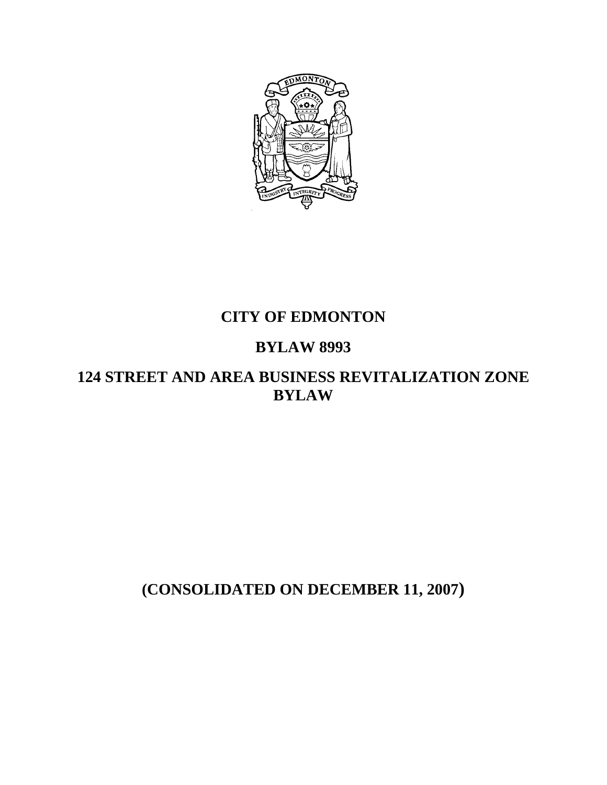

# **CITY OF EDMONTON**

# **BYLAW 8993**

# **124 STREET AND AREA BUSINESS REVITALIZATION ZONE BYLAW**

# **(CONSOLIDATED ON DECEMBER 11, 2007)**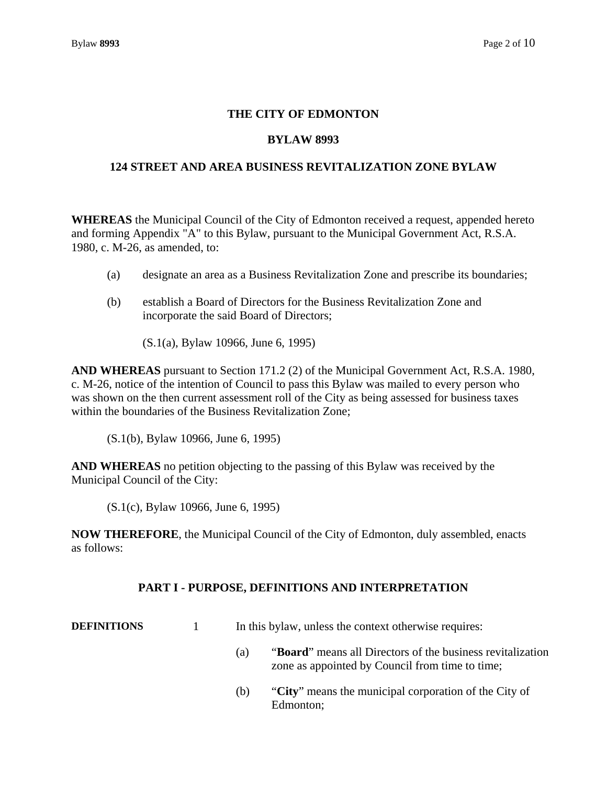# **THE CITY OF EDMONTON**

### **BYLAW 8993**

### **124 STREET AND AREA BUSINESS REVITALIZATION ZONE BYLAW**

**WHEREAS** the Municipal Council of the City of Edmonton received a request, appended hereto and forming Appendix "A" to this Bylaw, pursuant to the Municipal Government Act, R.S.A. 1980, c. M-26, as amended, to:

- (a) designate an area as a Business Revitalization Zone and prescribe its boundaries;
- (b) establish a Board of Directors for the Business Revitalization Zone and incorporate the said Board of Directors;

(S.1(a), Bylaw 10966, June 6, 1995)

**AND WHEREAS** pursuant to Section 171.2 (2) of the Municipal Government Act, R.S.A. 1980, c. M-26, notice of the intention of Council to pass this Bylaw was mailed to every person who was shown on the then current assessment roll of the City as being assessed for business taxes within the boundaries of the Business Revitalization Zone;

(S.1(b), Bylaw 10966, June 6, 1995)

**AND WHEREAS** no petition objecting to the passing of this Bylaw was received by the Municipal Council of the City:

(S.1(c), Bylaw 10966, June 6, 1995)

**NOW THEREFORE**, the Municipal Council of the City of Edmonton, duly assembled, enacts as follows:

### **PART I - PURPOSE, DEFINITIONS AND INTERPRETATION**

| <b>DEFINITIONS</b> |  | In this bylaw, unless the context otherwise requires: |  |
|--------------------|--|-------------------------------------------------------|--|
|--------------------|--|-------------------------------------------------------|--|

- (a) "**Board**" means all Directors of the business revitalization zone as appointed by Council from time to time;
- (b) "**City**" means the municipal corporation of the City of Edmonton;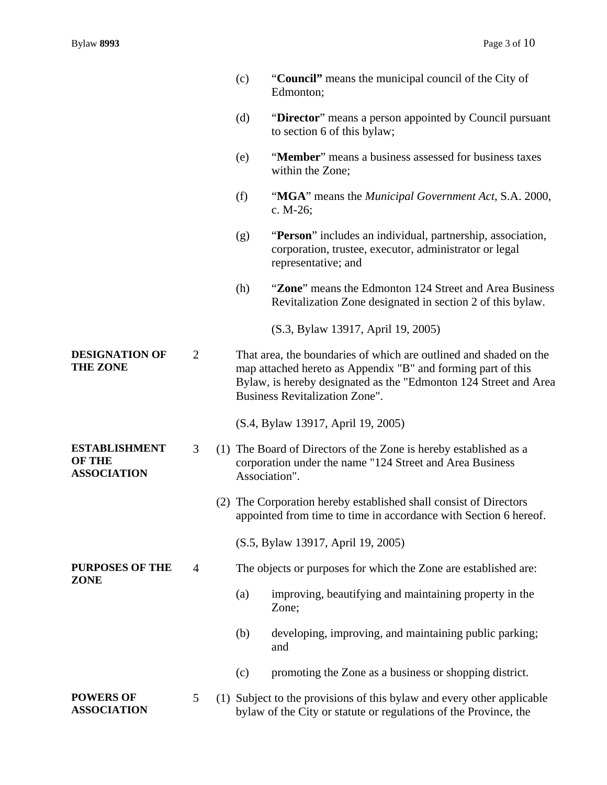|                                                             |                | (c) | "Council" means the municipal council of the City of<br>Edmonton;                                                                                                                                                                              |
|-------------------------------------------------------------|----------------|-----|------------------------------------------------------------------------------------------------------------------------------------------------------------------------------------------------------------------------------------------------|
|                                                             |                | (d) | "Director" means a person appointed by Council pursuant<br>to section 6 of this bylaw;                                                                                                                                                         |
|                                                             |                | (e) | "Member" means a business assessed for business taxes<br>within the Zone;                                                                                                                                                                      |
|                                                             |                | (f) | "MGA" means the Municipal Government Act, S.A. 2000,<br>c. $M-26$ ;                                                                                                                                                                            |
|                                                             |                | (g) | "Person" includes an individual, partnership, association,<br>corporation, trustee, executor, administrator or legal<br>representative; and                                                                                                    |
|                                                             |                | (h) | "Zone" means the Edmonton 124 Street and Area Business<br>Revitalization Zone designated in section 2 of this bylaw.                                                                                                                           |
|                                                             |                |     | (S.3, Bylaw 13917, April 19, 2005)                                                                                                                                                                                                             |
| <b>DESIGNATION OF</b><br><b>THE ZONE</b>                    | $\overline{2}$ |     | That area, the boundaries of which are outlined and shaded on the<br>map attached hereto as Appendix "B" and forming part of this<br>Bylaw, is hereby designated as the "Edmonton 124 Street and Area<br><b>Business Revitalization Zone".</b> |
|                                                             |                |     | (S.4, Bylaw 13917, April 19, 2005)                                                                                                                                                                                                             |
| <b>ESTABLISHMENT</b><br><b>OF THE</b><br><b>ASSOCIATION</b> | 3              |     | (1) The Board of Directors of the Zone is hereby established as a<br>corporation under the name "124 Street and Area Business<br>Association".                                                                                                 |
|                                                             |                |     | (2) The Corporation hereby established shall consist of Directors<br>appointed from time to time in accordance with Section 6 hereof.                                                                                                          |
|                                                             |                |     | (S.5, Bylaw 13917, April 19, 2005)                                                                                                                                                                                                             |
| <b>PURPOSES OF THE</b><br><b>ZONE</b>                       | $\overline{4}$ |     | The objects or purposes for which the Zone are established are:                                                                                                                                                                                |
|                                                             |                | (a) | improving, beautifying and maintaining property in the<br>Zone;                                                                                                                                                                                |
|                                                             |                | (b) | developing, improving, and maintaining public parking;<br>and                                                                                                                                                                                  |
|                                                             |                | (c) | promoting the Zone as a business or shopping district.                                                                                                                                                                                         |
| <b>POWERS OF</b><br><b>ASSOCIATION</b>                      | 5              |     | (1) Subject to the provisions of this bylaw and every other applicable<br>bylaw of the City or statute or regulations of the Province, the                                                                                                     |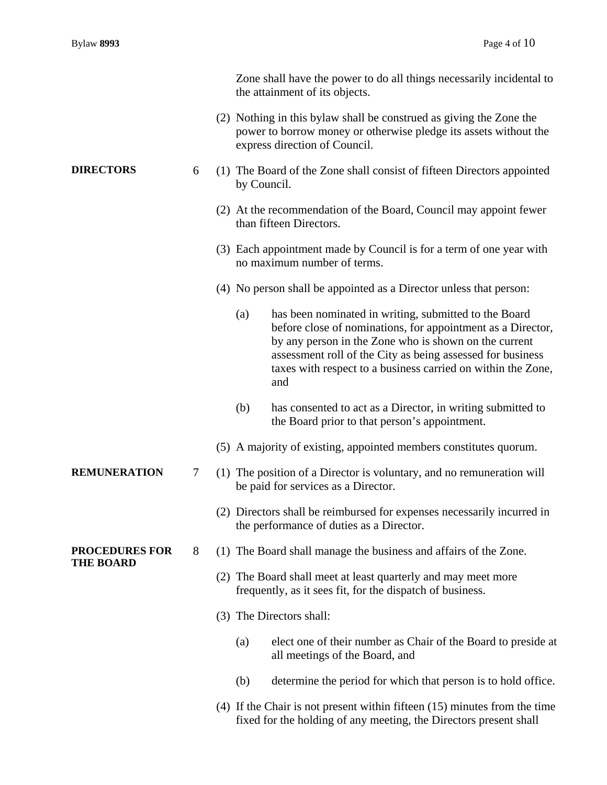|                                           |   | Zone shall have the power to do all things necessarily incidental to<br>the attainment of its objects.                                                                                                                                                                                                                    |
|-------------------------------------------|---|---------------------------------------------------------------------------------------------------------------------------------------------------------------------------------------------------------------------------------------------------------------------------------------------------------------------------|
|                                           |   | (2) Nothing in this bylaw shall be construed as giving the Zone the<br>power to borrow money or otherwise pledge its assets without the<br>express direction of Council.                                                                                                                                                  |
| <b>DIRECTORS</b>                          | 6 | (1) The Board of the Zone shall consist of fifteen Directors appointed<br>by Council.                                                                                                                                                                                                                                     |
|                                           |   | (2) At the recommendation of the Board, Council may appoint fewer<br>than fifteen Directors.                                                                                                                                                                                                                              |
|                                           |   | (3) Each appointment made by Council is for a term of one year with<br>no maximum number of terms.                                                                                                                                                                                                                        |
|                                           |   | (4) No person shall be appointed as a Director unless that person:                                                                                                                                                                                                                                                        |
|                                           |   | has been nominated in writing, submitted to the Board<br>(a)<br>before close of nominations, for appointment as a Director,<br>by any person in the Zone who is shown on the current<br>assessment roll of the City as being assessed for business<br>taxes with respect to a business carried on within the Zone,<br>and |
|                                           |   | has consented to act as a Director, in writing submitted to<br>(b)<br>the Board prior to that person's appointment.                                                                                                                                                                                                       |
|                                           |   | (5) A majority of existing, appointed members constitutes quorum.                                                                                                                                                                                                                                                         |
| <b>REMUNERATION</b>                       | 7 | (1) The position of a Director is voluntary, and no remuneration will<br>be paid for services as a Director.                                                                                                                                                                                                              |
|                                           |   | (2) Directors shall be reimbursed for expenses necessarily incurred in<br>the performance of duties as a Director.                                                                                                                                                                                                        |
| <b>PROCEDURES FOR</b><br><b>THE BOARD</b> | 8 | (1) The Board shall manage the business and affairs of the Zone.                                                                                                                                                                                                                                                          |
|                                           |   | (2) The Board shall meet at least quarterly and may meet more<br>frequently, as it sees fit, for the dispatch of business.                                                                                                                                                                                                |
|                                           |   | (3) The Directors shall:                                                                                                                                                                                                                                                                                                  |
|                                           |   | (a)<br>elect one of their number as Chair of the Board to preside at<br>all meetings of the Board, and                                                                                                                                                                                                                    |
|                                           |   | determine the period for which that person is to hold office.<br>(b)                                                                                                                                                                                                                                                      |
|                                           |   | $(4)$ If the Chair is not present within fifteen $(15)$ minutes from the time<br>fixed for the holding of any meeting, the Directors present shall                                                                                                                                                                        |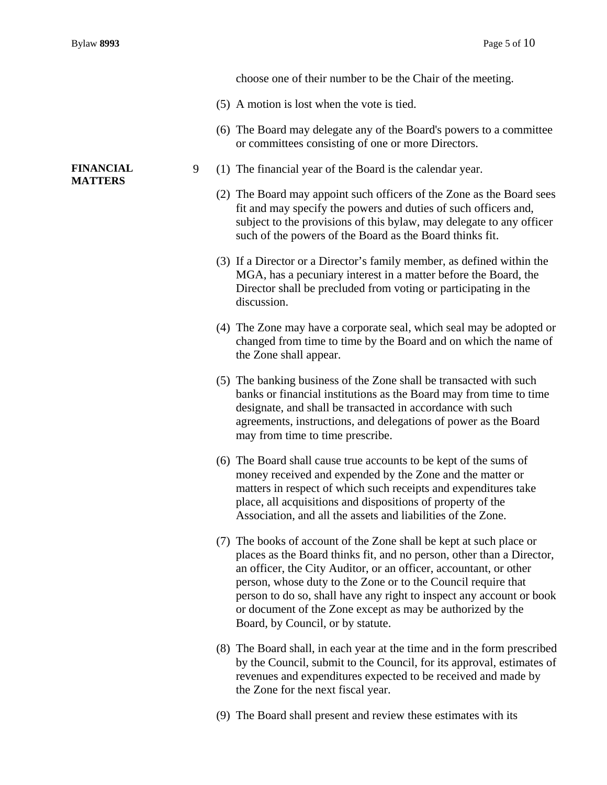choose one of their number to be the Chair of the meeting.

- (5) A motion is lost when the vote is tied.
- (6) The Board may delegate any of the Board's powers to a committee or committees consisting of one or more Directors.
- 9 (1) The financial year of the Board is the calendar year.
	- (2) The Board may appoint such officers of the Zone as the Board sees fit and may specify the powers and duties of such officers and, subject to the provisions of this bylaw, may delegate to any officer such of the powers of the Board as the Board thinks fit.
	- (3) If a Director or a Director's family member, as defined within the MGA, has a pecuniary interest in a matter before the Board, the Director shall be precluded from voting or participating in the discussion.
	- (4) The Zone may have a corporate seal, which seal may be adopted or changed from time to time by the Board and on which the name of the Zone shall appear.
	- (5) The banking business of the Zone shall be transacted with such banks or financial institutions as the Board may from time to time designate, and shall be transacted in accordance with such agreements, instructions, and delegations of power as the Board may from time to time prescribe.
	- (6) The Board shall cause true accounts to be kept of the sums of money received and expended by the Zone and the matter or matters in respect of which such receipts and expenditures take place, all acquisitions and dispositions of property of the Association, and all the assets and liabilities of the Zone.
	- (7) The books of account of the Zone shall be kept at such place or places as the Board thinks fit, and no person, other than a Director, an officer, the City Auditor, or an officer, accountant, or other person, whose duty to the Zone or to the Council require that person to do so, shall have any right to inspect any account or book or document of the Zone except as may be authorized by the Board, by Council, or by statute.
	- (8) The Board shall, in each year at the time and in the form prescribed by the Council, submit to the Council, for its approval, estimates of revenues and expenditures expected to be received and made by the Zone for the next fiscal year.
	- (9) The Board shall present and review these estimates with its

#### **FINANCIAL MATTERS**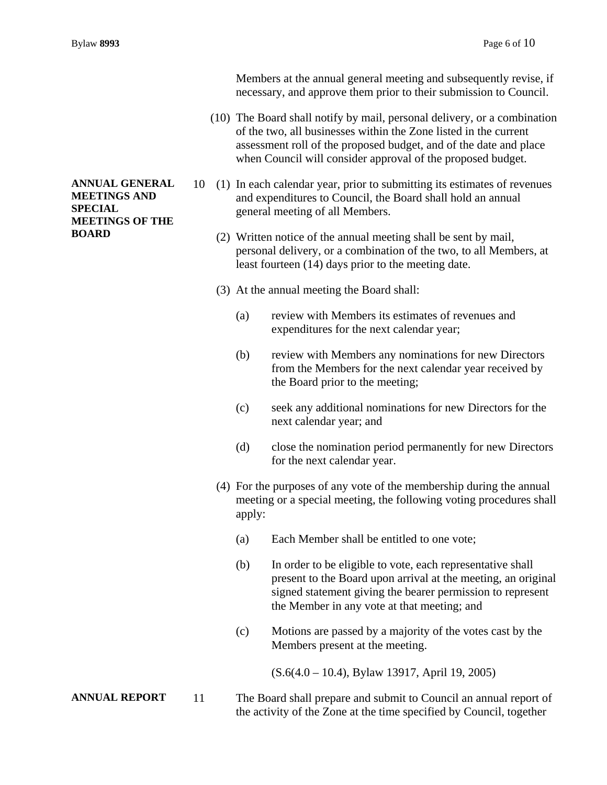Members at the annual general meeting and subsequently revise, if necessary, and approve them prior to their submission to Council.

- (10) The Board shall notify by mail, personal delivery, or a combination of the two, all businesses within the Zone listed in the current assessment roll of the proposed budget, and of the date and place when Council will consider approval of the proposed budget.
- 10 (1) In each calendar year, prior to submitting its estimates of revenues and expenditures to Council, the Board shall hold an annual general meeting of all Members.
	- (2) Written notice of the annual meeting shall be sent by mail, personal delivery, or a combination of the two, to all Members, at least fourteen (14) days prior to the meeting date.
	- (3) At the annual meeting the Board shall:
		- (a) review with Members its estimates of revenues and expenditures for the next calendar year;
		- (b) review with Members any nominations for new Directors from the Members for the next calendar year received by the Board prior to the meeting;
		- (c) seek any additional nominations for new Directors for the next calendar year; and
		- (d) close the nomination period permanently for new Directors for the next calendar year.
	- (4) For the purposes of any vote of the membership during the annual meeting or a special meeting, the following voting procedures shall apply:
		- (a) Each Member shall be entitled to one vote;
		- (b) In order to be eligible to vote, each representative shall present to the Board upon arrival at the meeting, an original signed statement giving the bearer permission to represent the Member in any vote at that meeting; and
		- (c) Motions are passed by a majority of the votes cast by the Members present at the meeting.

(S.6(4.0 – 10.4), Bylaw 13917, April 19, 2005)

**ANNUAL REPORT** 11 The Board shall prepare and submit to Council an annual report of the activity of the Zone at the time specified by Council, together

## **ANNUAL GENERAL MEETINGS AND SPECIAL MEETINGS OF THE BOARD**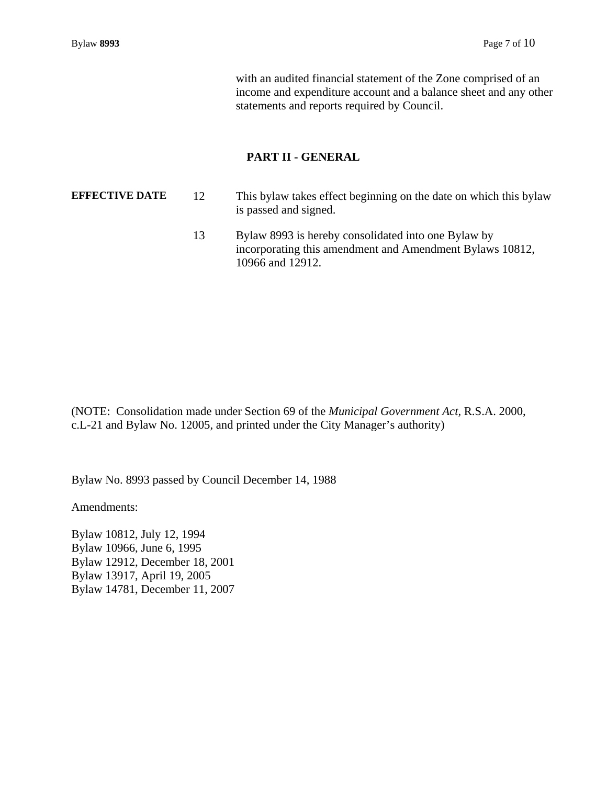with an audited financial statement of the Zone comprised of an income and expenditure account and a balance sheet and any other statements and reports required by Council.

#### **PART II - GENERAL**

**EFFECTIVE DATE** 12 This bylaw takes effect beginning on the date on which this bylaw is passed and signed. 13 Bylaw 8993 is hereby consolidated into one Bylaw by incorporating this amendment and Amendment Bylaws 10812,

10966 and 12912.

(NOTE: Consolidation made under Section 69 of the *Municipal Government Act,* R.S.A. 2000, c.L-21 and Bylaw No. 12005, and printed under the City Manager's authority)

Bylaw No. 8993 passed by Council December 14, 1988

Amendments:

Bylaw 10812, July 12, 1994 Bylaw 10966, June 6, 1995 Bylaw 12912, December 18, 2001 Bylaw 13917, April 19, 2005 Bylaw 14781, December 11, 2007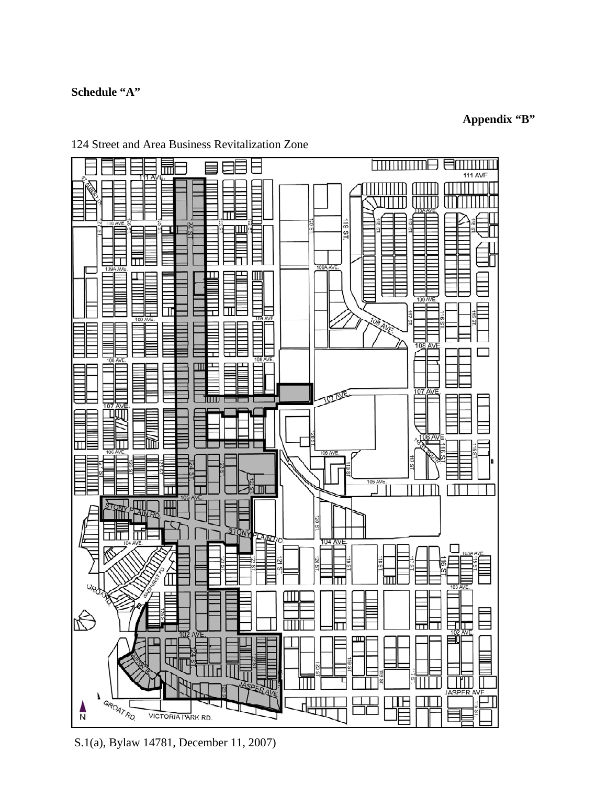# **Schedule "A"**

# **Appendix "B"**



124 Street and Area Business Revitalization Zone

S.1(a), Bylaw 14781, December 11, 2007)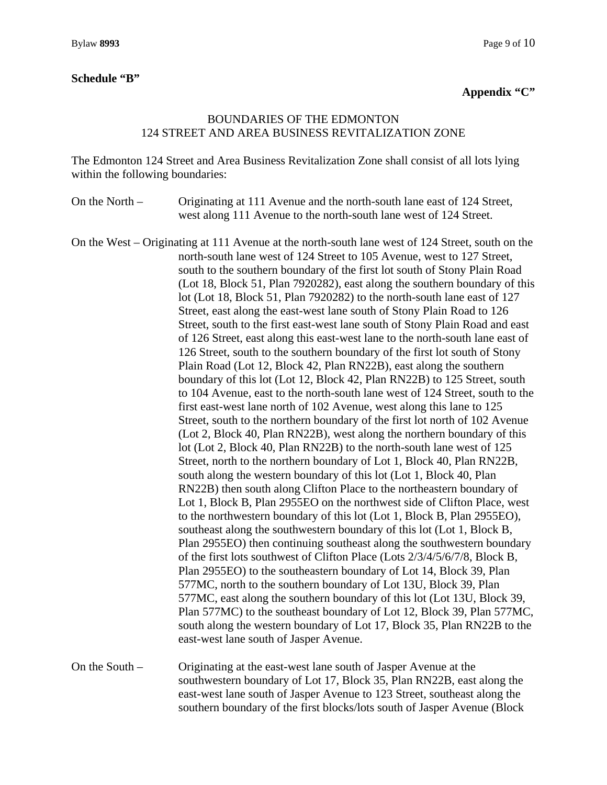### **Schedule "B"**

# **Appendix "C"**

# BOUNDARIES OF THE EDMONTON 124 STREET AND AREA BUSINESS REVITALIZATION ZONE

The Edmonton 124 Street and Area Business Revitalization Zone shall consist of all lots lying within the following boundaries:

On the North – Originating at 111 Avenue and the north-south lane east of 124 Street, west along 111 Avenue to the north-south lane west of 124 Street.

On the West – Originating at 111 Avenue at the north-south lane west of 124 Street, south on the north-south lane west of 124 Street to 105 Avenue, west to 127 Street, south to the southern boundary of the first lot south of Stony Plain Road (Lot 18, Block 51, Plan 7920282), east along the southern boundary of this lot (Lot 18, Block 51, Plan 7920282) to the north-south lane east of 127 Street, east along the east-west lane south of Stony Plain Road to 126 Street, south to the first east-west lane south of Stony Plain Road and east of 126 Street, east along this east-west lane to the north-south lane east of 126 Street, south to the southern boundary of the first lot south of Stony Plain Road (Lot 12, Block 42, Plan RN22B), east along the southern boundary of this lot (Lot 12, Block 42, Plan RN22B) to 125 Street, south to 104 Avenue, east to the north-south lane west of 124 Street, south to the first east-west lane north of 102 Avenue, west along this lane to 125 Street, south to the northern boundary of the first lot north of 102 Avenue (Lot 2, Block 40, Plan RN22B), west along the northern boundary of this lot (Lot 2, Block 40, Plan RN22B) to the north-south lane west of 125 Street, north to the northern boundary of Lot 1, Block 40, Plan RN22B, south along the western boundary of this lot (Lot 1, Block 40, Plan RN22B) then south along Clifton Place to the northeastern boundary of Lot 1, Block B, Plan 2955EO on the northwest side of Clifton Place, west to the northwestern boundary of this lot (Lot 1, Block B, Plan 2955EO), southeast along the southwestern boundary of this lot (Lot 1, Block B, Plan 2955EO) then continuing southeast along the southwestern boundary of the first lots southwest of Clifton Place (Lots 2/3/4/5/6/7/8, Block B, Plan 2955EO) to the southeastern boundary of Lot 14, Block 39, Plan 577MC, north to the southern boundary of Lot 13U, Block 39, Plan 577MC, east along the southern boundary of this lot (Lot 13U, Block 39, Plan 577MC) to the southeast boundary of Lot 12, Block 39, Plan 577MC, south along the western boundary of Lot 17, Block 35, Plan RN22B to the east-west lane south of Jasper Avenue.

On the South – Originating at the east-west lane south of Jasper Avenue at the southwestern boundary of Lot 17, Block 35, Plan RN22B, east along the east-west lane south of Jasper Avenue to 123 Street, southeast along the southern boundary of the first blocks/lots south of Jasper Avenue (Block